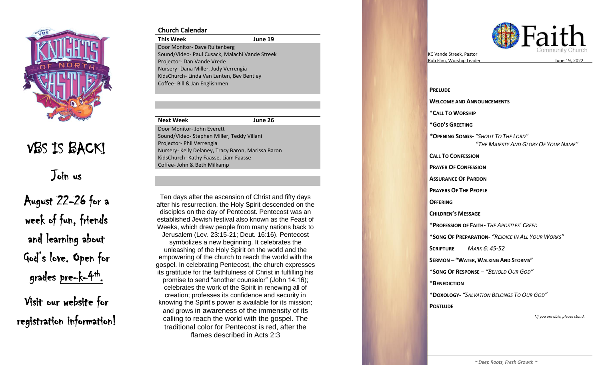

# VBS IS BACK!

Join us

August 22 -26 for a week of fun, friends and learning about God's love. Open for grades pre-k-4<sup>th</sup>.

Visit our website for registration information!

### **Church Calendar**

**This Week 1 9** Door Monitor - Dave Ruitenberg Sound/Video - Paul Cusack, Malachi Vande Streek Projector- Dan Vande Vrede Nursery - Dana Miller, Judy Verrengia KidsChurch - Linda Van Lenten, Bev Bentley Coffee - Bill & Jan Englishmen

#### **Next Week June 26**

Door Monitor - John Everett Sound/Video - Stephen Miller, Teddy Villani Projector- Phil Verrengia Nursery - Kelly Delaney, Tracy Baron, Marissa Baron KidsChurch - Kathy Faasse, Liam Faasse Coffee - John & Beth Milkamp

Ten days after the ascension of Christ and fifty days<br>after his resurrection, the Holy Spirit descended on the Weeks, which drew people from many nations back to Ten days after the ascension of Christ and fifty days disciples on the day of Pentecost. Pentecost was an established Jewish festival also known as the Feast of Jerusalem (Lev. 23:15 -21; Deut. 16:16). Pentecost

symbolizes a new beginning. It celebrates the gospel. In celebrating Pentecost, the church expresses<br>its anality defended for the children expressed Obside in fulfilling his promise to send "another counselor" (John 14:16); knowing the Spirit's power is available for its mission; traditional color for Pentecost is red, after the unleashing of the Holy Spirit on the world and the empowering of the church to reach the world with the its gratitude for the faithfulness of Christ in fulfilling his celebrates the work of the Spirit in renewing all of creation; professes its confidence and security in and grows in awareness of the immensity of its calling to reach the world with the gospel. The flames described in Acts 2:3



KC Vande Streek , Pastor Rob Flim, Worship Leader

<u>19, 2022</u>

**PRELUDE WELCOME AND ANNOUNCEMENTS \* CALL TO WORSHIP \*GOD 'S GREETING** *\** **OPENING SONG S -** *"SHOUT TO THE LORD " " THE MAJESTY AND GLORY OF YOUR NAME "* **CALL TO CONFESSION PRAYER OF CONFESSION ASSURANCE OF PARDON PRAYERS OF THE PEOPLE OFFERING CHILDREN 'S MESSAGE \* PROFESSION OF FAITH -** *THE APOSTLES ' CREED* **\*SONG OF PREPARATION -** *"REJOICE IN ALL YOUR WORKS "* **SCRIPTURE**  *MARK 6: 45 -52* **SERMON – " WATER , WALKING AND STORMS "** \* **SONG OF RESPONSE** – *"BEHOLD OUR GOD "* **\*BENEDICTION \*DOXOLOGY -** *"SALVATION BELONGS TO OUR GOD "* **POSTLUDE** *\*If you are able, please stand.*